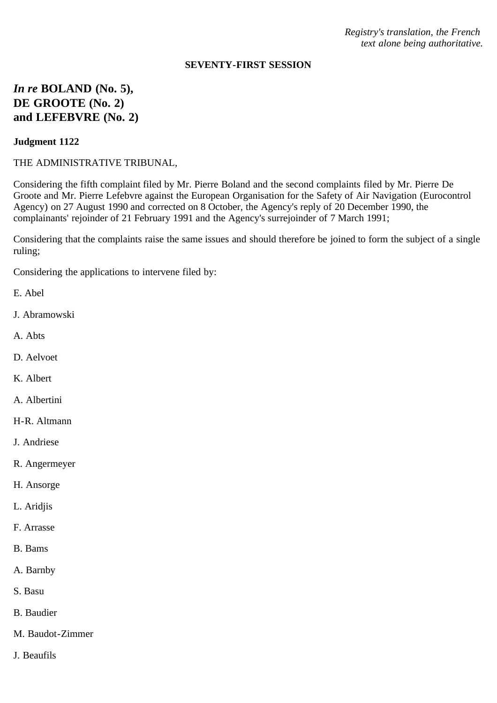*Registry's translation, the French text alone being authoritative.*

### **SEVENTY-FIRST SESSION**

# *In re* **BOLAND (No. 5), DE GROOTE (No. 2) and LEFEBVRE (No. 2)**

#### **Judgment 1122**

THE ADMINISTRATIVE TRIBUNAL,

Considering the fifth complaint filed by Mr. Pierre Boland and the second complaints filed by Mr. Pierre De Groote and Mr. Pierre Lefebvre against the European Organisation for the Safety of Air Navigation (Eurocontrol Agency) on 27 August 1990 and corrected on 8 October, the Agency's reply of 20 December 1990, the complainants' rejoinder of 21 February 1991 and the Agency's surrejoinder of 7 March 1991;

Considering that the complaints raise the same issues and should therefore be joined to form the subject of a single ruling;

Considering the applications to intervene filed by:

- E. Abel
- J. Abramowski
- A. Abts
- D. Aelvoet
- K. Albert
- A. Albertini
- H-R. Altmann
- J. Andriese
- R. Angermeyer
- H. Ansorge
- L. Aridjis
- F. Arrasse
- B. Bams
- A. Barnby
- S. Basu
- B. Baudier
- M. Baudot-Zimmer
- J. Beaufils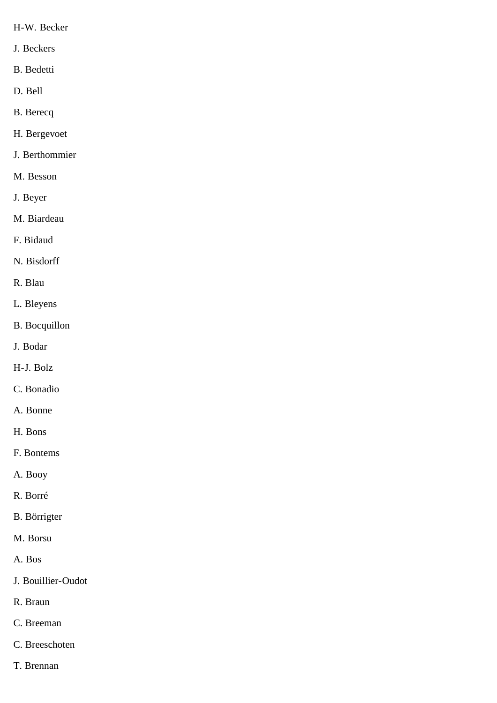- H-W. Becker
- J. Beckers
- B. Bedetti
- D. Bell
- B. Berecq
- H. Bergevoet
- J. Berthommier
- M. Besson
- J. Beyer
- M. Biardeau
- F. Bidaud
- N. Bisdorff
- R. Blau
- L. Bleyens
- B. Bocquillon
- J. Bodar
- H-J. Bolz
- C. Bonadio
- A. Bonne
- H. Bons
- F. Bontems
- A. Booy
- R. Borré
- B. Börrigter
- M. Borsu
- A. Bos
- J. Bouillier-Oudot
- R. Braun
- C. Breeman
- C. Breeschoten
- T. Brennan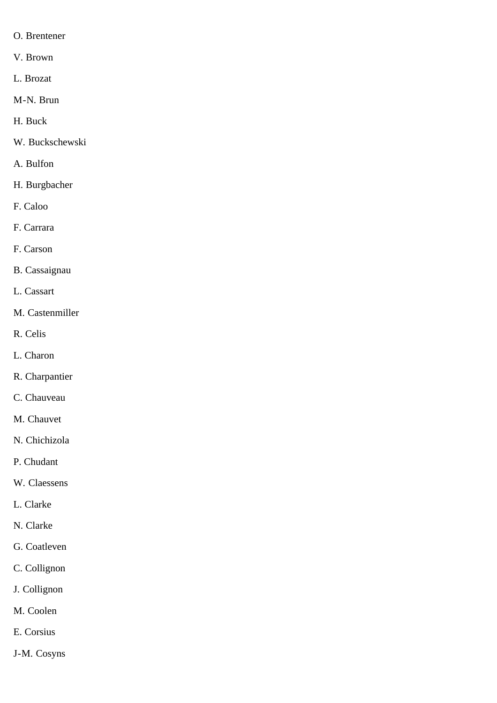- O. Brentener
- V. Brown
- L. Brozat
- M-N. Brun
- H. Buck
- W. Buckschewski
- A. Bulfon
- H. Burgbacher
- F. Caloo
- F. Carrara
- F. Carson
- B. Cassaignau
- L. Cassart
- M. Castenmiller
- R. Celis
- L. Charon
- R. Charpantier
- C. Chauveau
- M. Chauvet
- N. Chichizola
- P. Chudant
- W. Claessens
- L. Clarke
- N. Clarke
- G. Coatleven
- C. Collignon
- J. Collignon
- M. Coolen
- E. Corsius
- J-M. Cosyns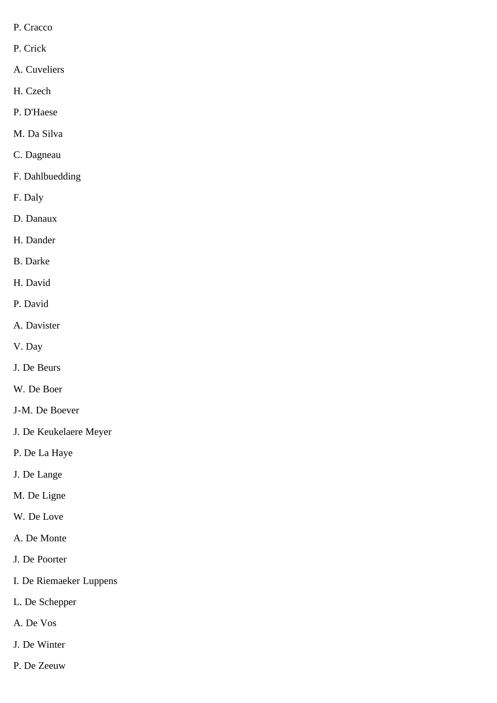- P. Cracco
- P. Crick
- A. Cuveliers
- H. Czech
- P. D'Haese
- M. Da Silva
- C. Dagneau
- F. Dahlbuedding
- F. Daly
- D. Danaux
- H. Dander
- B. Darke
- H. David
- P. David
- A. Davister
- V. Day
- J. De Beurs
- W. De Boer
- J-M. De Boever
- J. De Keukelaere Meyer
- P. De La Haye
- J. De Lange
- M. De Ligne
- W. De Love
- A. De Monte
- J. De Poorter
- I. De Riemaeker Luppens
- L. De Schepper
- A. De Vos
- J. De Winter
- P. De Zeeuw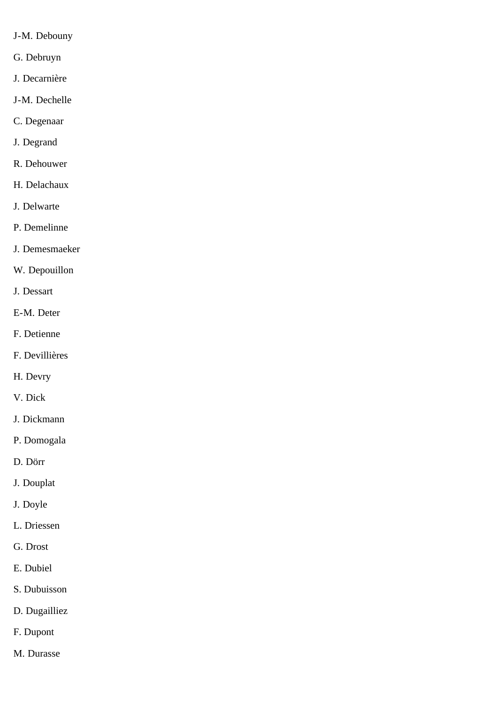- J-M. Debouny
- G. Debruyn
- J. Decarnière
- J-M. Dechelle
- C. Degenaar
- J. Degrand
- R. Dehouwer
- H. Delachaux
- J. Delwarte
- P. Demelinne
- J. Demesmaeker
- W. Depouillon
- J. Dessart
- E-M. Deter
- F. Detienne
- F. Devillières
- H. Devry
- V. Dick
- J. Dickmann
- P. Domogala
- D. Dörr
- J. Douplat
- J. Doyle
- L. Driessen
- G. Drost
- E. Dubiel
- S. Dubuisson
- D. Dugailliez
- F. Dupont
- M. Durasse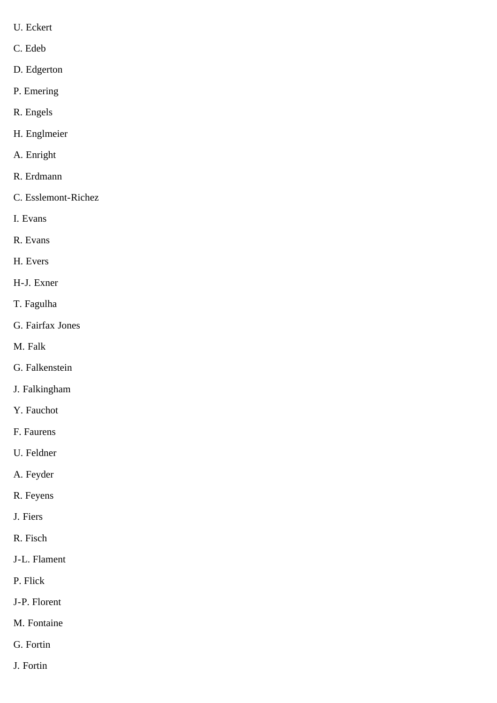- U. Eckert
- C. Edeb
- D. Edgerton
- P. Emering
- R. Engels
- H. Englmeier
- A. Enright
- R. Erdmann
- C. Esslemont-Richez
- I. Evans
- R. Evans
- H. Evers
- H-J. Exner
- T. Fagulha
- G. Fairfax Jones
- M. Falk
- G. Falkenstein
- J. Falkingham
- Y. Fauchot
- F. Faurens
- U. Feldner
- A. Feyder
- R. Feyens
- J. Fiers
- R. Fisch
- J-L. Flament
- P. Flick
- J-P. Florent
- M. Fontaine
- G. Fortin
- J. Fortin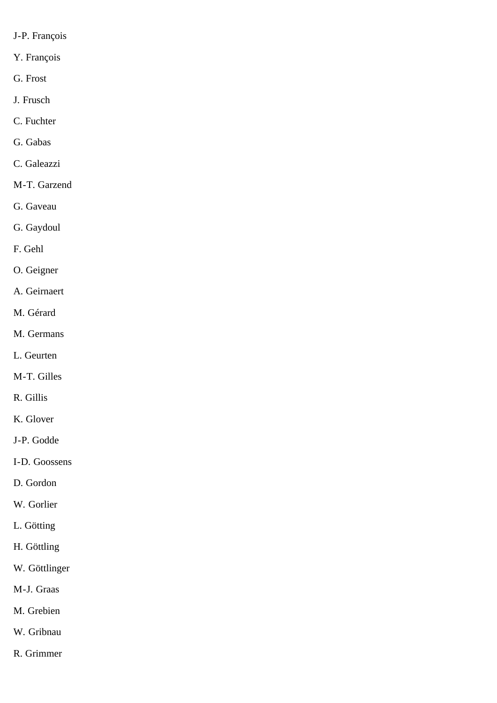- J-P. François
- Y. François
- G. Frost
- J. Frusch
- C. Fuchter
- G. Gabas
- C. Galeazzi
- M-T. Garzend
- G. Gaveau
- G. Gaydoul
- F. Gehl
- O. Geigner
- A. Geirnaert
- M. Gérard
- M. Germans
- L. Geurten
- M-T. Gilles
- R. Gillis
- K. Glover
- J-P. Godde
- I-D. Goossens
- D. Gordon
- W. Gorlier
- L. Götting
- H. Göttling
- W. Göttlinger
- M-J. Graas
- M. Grebien
- W. Gribnau
- R. Grimmer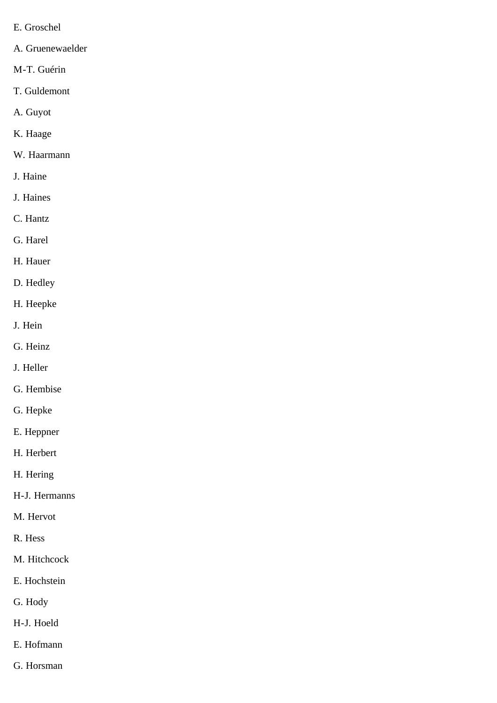- E. Groschel
- A. Gruenewaelder
- M-T. Guérin
- T. Guldemont
- A. Guyot
- K. Haage
- W. Haarmann
- J. Haine
- J. Haines
- C. Hantz
- G. Harel
- H. Hauer
- D. Hedley
- H. Heepke
- J. Hein
- G. Heinz
- J. Heller
- G. Hembise
- G. Hepke
- E. Heppner
- H. Herbert
- H. Hering
- H-J. Hermanns
- M. Hervot
- R. Hess
- M. Hitchcock
- E. Hochstein
- G. Hody
- H-J. Hoeld
- E. Hofmann
- G. Horsman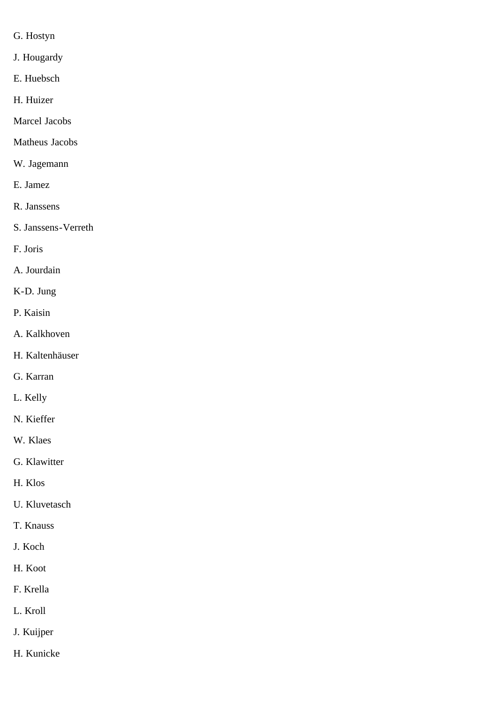- G. Hostyn
- J. Hougardy
- E. Huebsch
- H. Huizer
- Marcel Jacobs
- Matheus Jacobs
- W. Jagemann
- E. Jamez
- R. Janssens
- S. Janssens-Verreth
- F. Joris
- A. Jourdain
- K-D. Jung
- P. Kaisin
- A. Kalkhoven
- H. Kaltenhäuser
- G. Karran
- L. Kelly
- N. Kieffer
- W. Klaes
- G. Klawitter
- H. Klos
- U. Kluvetasch
- T. Knauss
- J. Koch
- H. Koot
- F. Krella
- L. Kroll
- J. Kuijper
- H. Kunicke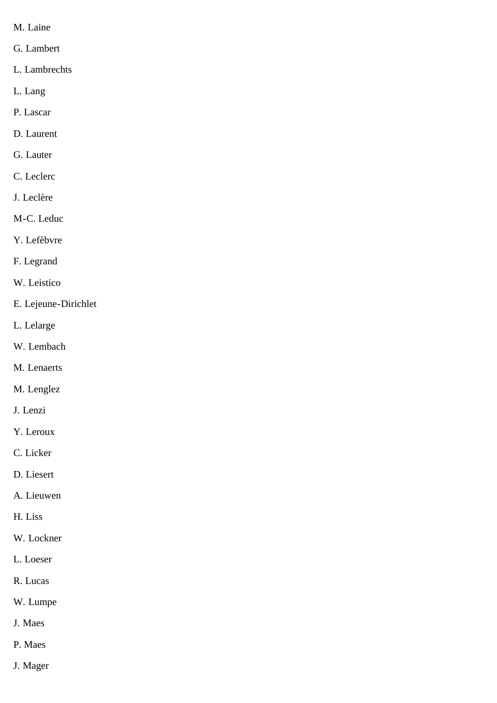- M. Laine
- G. Lambert
- L. Lambrechts
- L. Lang
- P. Lascar
- D. Laurent
- G. Lauter
- C. Leclerc
- J. Leclère
- M-C. Leduc
- Y. Lefèbvre
- F. Legrand
- W. Leistico
- E. Lejeune-Dirichlet
- L. Lelarge
- W. Lembach
- M. Lenaerts
- M. Lenglez
- J. Lenzi
- Y. Leroux
- C. Licker
- D. Liesert
- A. Lieuwen
- H. Liss
- W. Lockner
- L. Loeser
- R. Lucas
- W. Lumpe
- J. Maes
- P. Maes
- J. Mager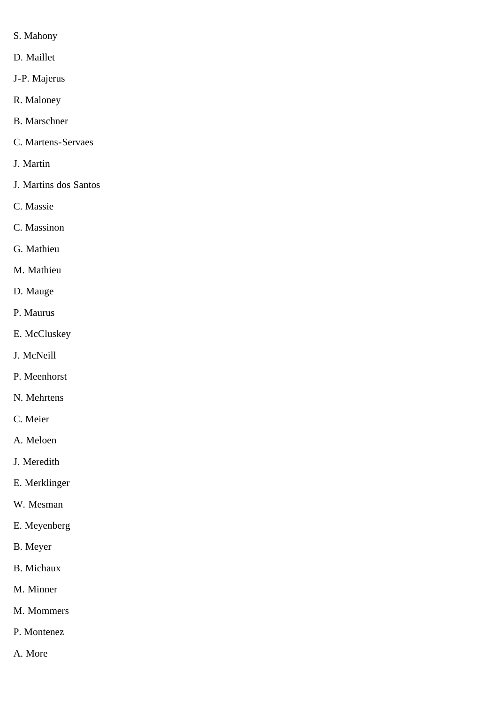- S. Mahony
- D. Maillet
- J-P. Majerus
- R. Maloney
- B. Marschner
- C. Martens-Servaes
- J. Martin
- J. Martins dos Santos
- C. Massie
- C. Massinon
- G. Mathieu
- M. Mathieu
- D. Mauge
- P. Maurus
- E. McCluskey
- J. McNeill
- P. Meenhorst
- N. Mehrtens
- C. Meier
- A. Meloen
- J. Meredith
- E. Merklinger
- W. Mesman
- E. Meyenberg
- B. Meyer
- B. Michaux
- M. Minner
- M. Mommers
- P. Montenez
- A. More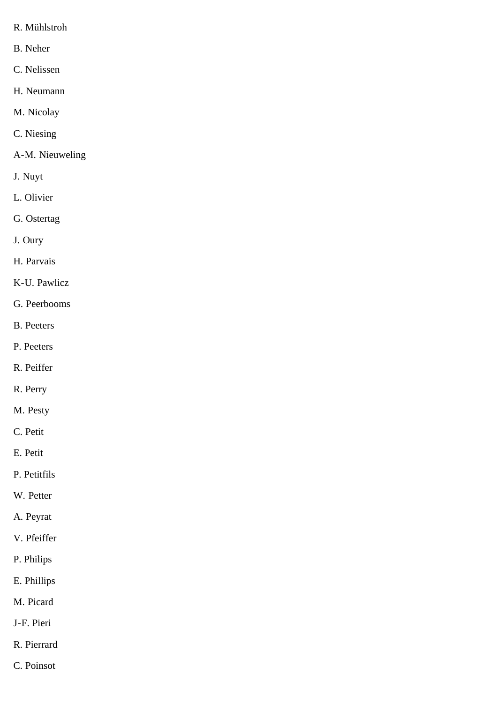- R. Mühlstroh
- B. Neher
- C. Nelissen
- H. Neumann
- M. Nicolay
- C. Niesing
- A-M. Nieuweling
- J. Nuyt
- L. Olivier
- G. Ostertag
- J. Oury
- H. Parvais
- K-U. Pawlicz
- G. Peerbooms
- B. Peeters
- P. Peeters
- R. Peiffer
- R. Perry
- M. Pesty
- C. Petit
- E. Petit
- P. Petitfils
- W. Petter
- A. Peyrat
- V. Pfeiffer
- P. Philips
- E. Phillips
- M. Picard
- J-F. Pieri
- R. Pierrard
- C. Poinsot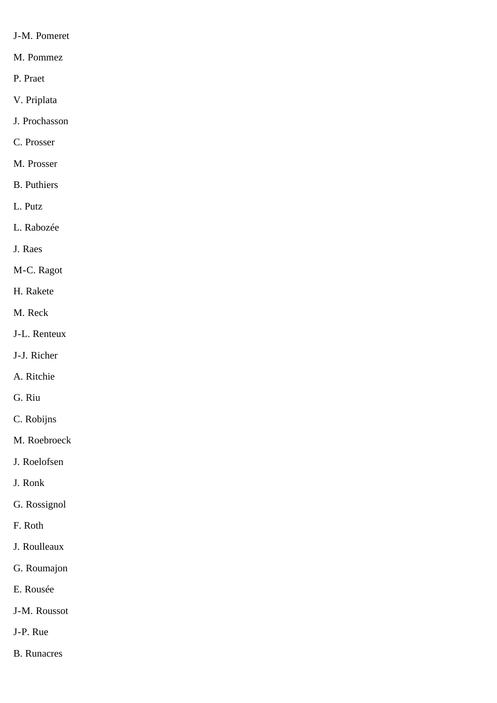- J-M. Pomeret
- M. Pommez
- P. Praet
- V. Priplata
- J. Prochasson
- C. Prosser
- M. Prosser
- B. Puthiers
- L. Putz
- L. Rabozée
- J. Raes
- M-C. Ragot
- H. Rakete
- M. Reck
- J-L. Renteux
- J-J. Richer
- A. Ritchie
- G. Riu
- C. Robijns
- M. Roebroeck
- J. Roelofsen
- J. Ronk
- G. Rossignol
- F. Roth
- J. Roulleaux
- G. Roumajon
- E. Rousée
- J-M. Roussot
- J-P. Rue
- B. Runacres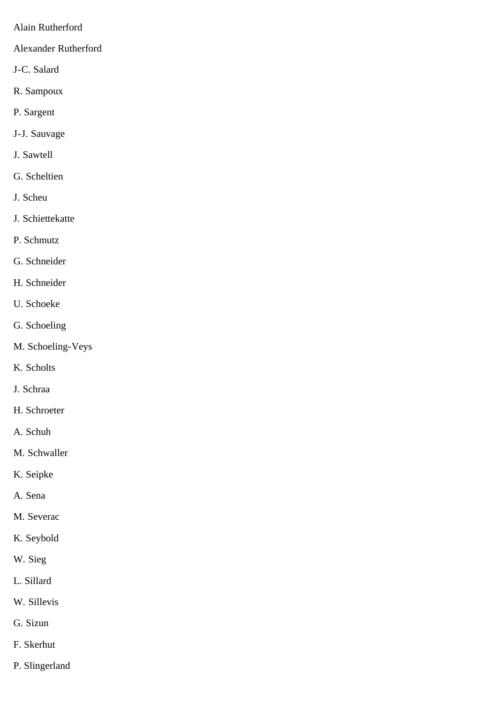- Alain Rutherford
- Alexander Rutherford
- J-C. Salard
- R. Sampoux
- P. Sargent
- J-J. Sauvage
- J. Sawtell
- G. Scheltien
- J. Scheu
- J. Schiettekatte
- P. Schmutz
- G. Schneider
- H. Schneider
- U. Schoeke
- G. Schoeling
- M. Schoeling-Veys
- K. Scholts
- J. Schraa
- H. Schroeter
- A. Schuh
- M. Schwaller
- K. Seipke
- A. Sena
- M. Severac
- K. Seybold
- W. Sieg
- L. Sillard
- W. Sillevis
- G. Sizun
- F. Skerhut
- P. Slingerland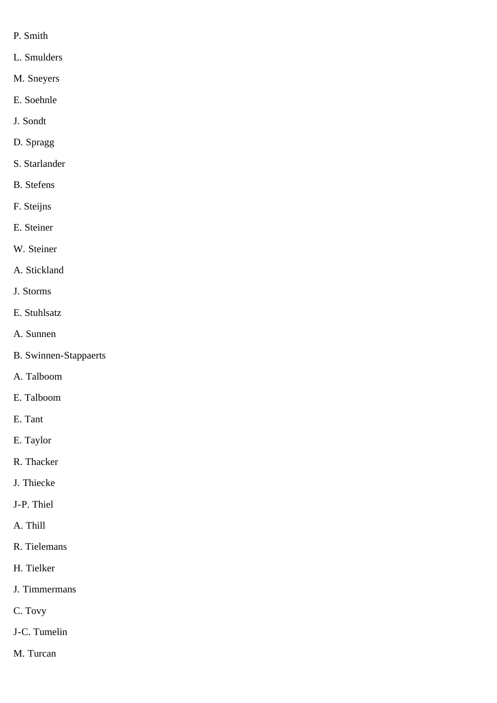- P. Smith
- L. Smulders
- M. Sneyers
- E. Soehnle
- J. Sondt
- D. Spragg
- S. Starlander
- B. Stefens
- F. Steijns
- E. Steiner
- W. Steiner
- A. Stickland
- J. Storms
- E. Stuhlsatz
- A. Sunnen
- B. Swinnen-Stappaerts
- A. Talboom
- E. Talboom
- E. Tant
- E. Taylor
- R. Thacker
- J. Thiecke
- J-P. Thiel
- A. Thill
- R. Tielemans
- H. Tielker
- J. Timmermans
- C. Tovy
- J-C. Tumelin
- M. Turcan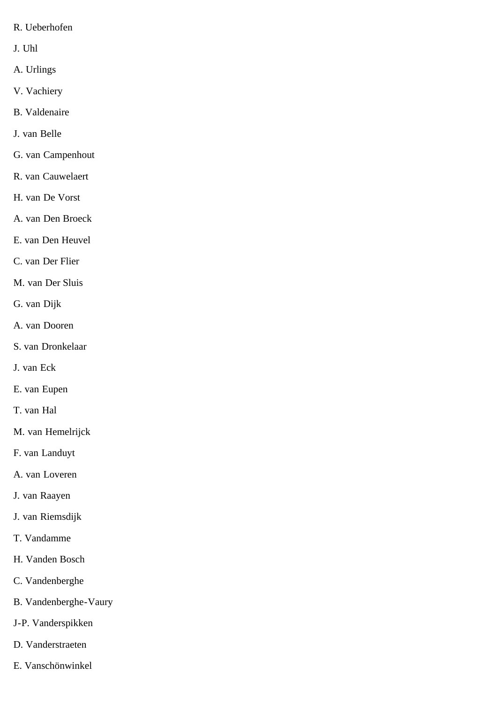- R. Ueberhofen
- J. Uhl
- A. Urlings
- V. Vachiery
- B. Valdenaire
- J. van Belle
- G. van Campenhout
- R. van Cauwelaert
- H. van De Vorst
- A. van Den Broeck
- E. van Den Heuvel
- C. van Der Flier
- M. van Der Sluis
- G. van Dijk
- A. van Dooren
- S. van Dronkelaar
- J. van Eck
- E. van Eupen
- T. van Hal
- M. van Hemelrijck
- F. van Landuyt
- A. van Loveren
- J. van Raayen
- J. van Riemsdijk
- T. Vandamme
- H. Vanden Bosch
- C. Vandenberghe
- B. Vandenberghe-Vaury
- J-P. Vanderspikken
- D. Vanderstraeten
- E. Vanschönwinkel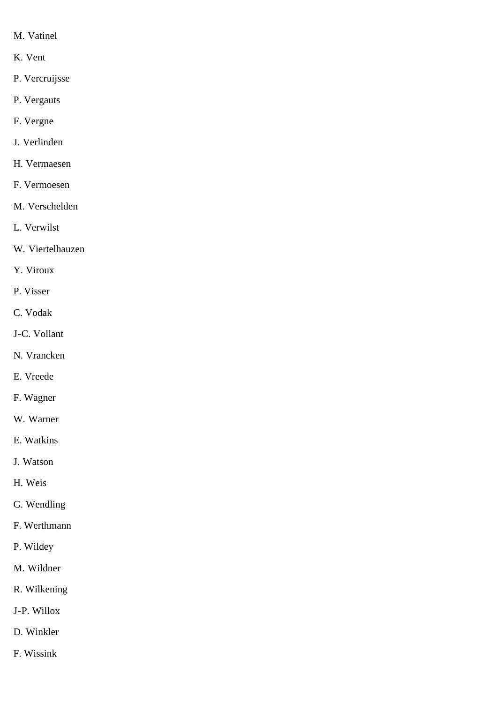- M. Vatinel
- K. Vent
- P. Vercruijsse
- P. Vergauts
- F. Vergne
- J. Verlinden
- H. Vermaesen
- F. Vermoesen
- M. Verschelden
- L. Verwilst
- W. Viertelhauzen
- Y. Viroux
- P. Visser
- C. Vodak
- J-C. Vollant
- N. Vrancken
- E. Vreede
- F. Wagner
- W. Warner
- E. Watkins
- J. Watson
- H. Weis
- G. Wendling
- F. Werthmann
- P. Wildey
- M. Wildner
- R. Wilkening
- J-P. Willox
- D. Winkler
- F. Wissink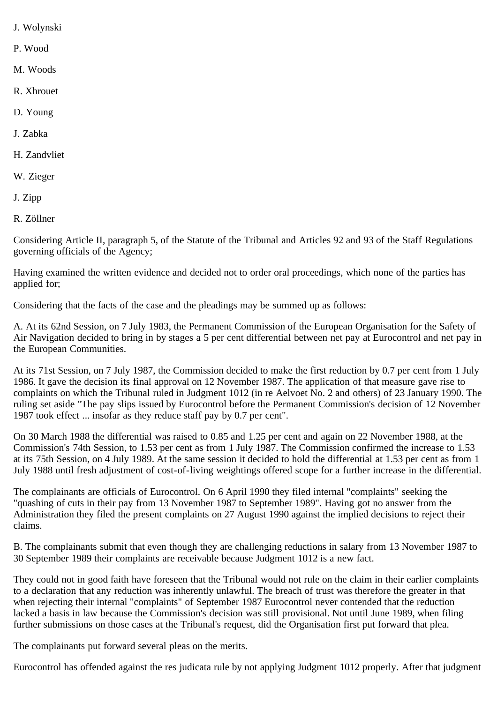- J. Wolynski
- P. Wood
- M. Woods
- R. Xhrouet
- D. Young
- J. Zabka
- H. Zandvliet
- W. Zieger
- J. Zipp
- R. Zöllner

Considering Article II, paragraph 5, of the Statute of the Tribunal and Articles 92 and 93 of the Staff Regulations governing officials of the Agency;

Having examined the written evidence and decided not to order oral proceedings, which none of the parties has applied for;

Considering that the facts of the case and the pleadings may be summed up as follows:

A. At its 62nd Session, on 7 July 1983, the Permanent Commission of the European Organisation for the Safety of Air Navigation decided to bring in by stages a 5 per cent differential between net pay at Eurocontrol and net pay in the European Communities.

At its 71st Session, on 7 July 1987, the Commission decided to make the first reduction by 0.7 per cent from 1 July 1986. It gave the decision its final approval on 12 November 1987. The application of that measure gave rise to complaints on which the Tribunal ruled in Judgment 1012 (in re Aelvoet No. 2 and others) of 23 January 1990. The ruling set aside "The pay slips issued by Eurocontrol before the Permanent Commission's decision of 12 November 1987 took effect ... insofar as they reduce staff pay by 0.7 per cent".

On 30 March 1988 the differential was raised to 0.85 and 1.25 per cent and again on 22 November 1988, at the Commission's 74th Session, to 1.53 per cent as from 1 July 1987. The Commission confirmed the increase to 1.53 at its 75th Session, on 4 July 1989. At the same session it decided to hold the differential at 1.53 per cent as from 1 July 1988 until fresh adjustment of cost-of-living weightings offered scope for a further increase in the differential.

The complainants are officials of Eurocontrol. On 6 April 1990 they filed internal "complaints" seeking the "quashing of cuts in their pay from 13 November 1987 to September 1989". Having got no answer from the Administration they filed the present complaints on 27 August 1990 against the implied decisions to reject their claims.

B. The complainants submit that even though they are challenging reductions in salary from 13 November 1987 to 30 September 1989 their complaints are receivable because Judgment 1012 is a new fact.

They could not in good faith have foreseen that the Tribunal would not rule on the claim in their earlier complaints to a declaration that any reduction was inherently unlawful. The breach of trust was therefore the greater in that when rejecting their internal "complaints" of September 1987 Eurocontrol never contended that the reduction lacked a basis in law because the Commission's decision was still provisional. Not until June 1989, when filing further submissions on those cases at the Tribunal's request, did the Organisation first put forward that plea.

The complainants put forward several pleas on the merits.

Eurocontrol has offended against the res judicata rule by not applying Judgment 1012 properly. After that judgment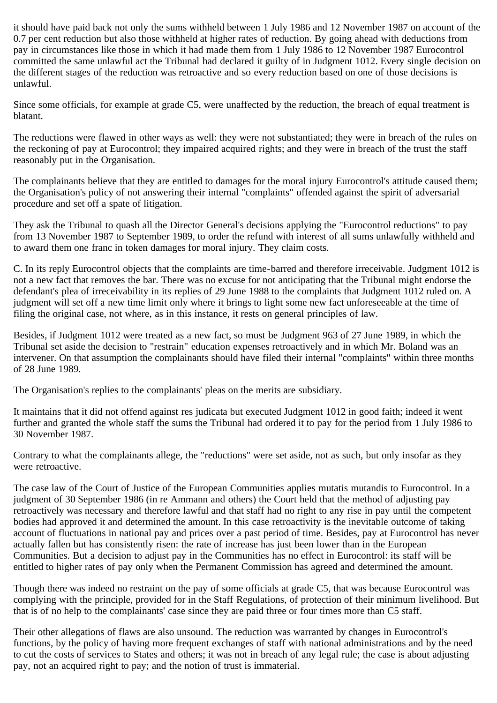it should have paid back not only the sums withheld between 1 July 1986 and 12 November 1987 on account of the 0.7 per cent reduction but also those withheld at higher rates of reduction. By going ahead with deductions from pay in circumstances like those in which it had made them from 1 July 1986 to 12 November 1987 Eurocontrol committed the same unlawful act the Tribunal had declared it guilty of in Judgment 1012. Every single decision on the different stages of the reduction was retroactive and so every reduction based on one of those decisions is unlawful.

Since some officials, for example at grade C5, were unaffected by the reduction, the breach of equal treatment is blatant.

The reductions were flawed in other ways as well: they were not substantiated; they were in breach of the rules on the reckoning of pay at Eurocontrol; they impaired acquired rights; and they were in breach of the trust the staff reasonably put in the Organisation.

The complainants believe that they are entitled to damages for the moral injury Eurocontrol's attitude caused them; the Organisation's policy of not answering their internal "complaints" offended against the spirit of adversarial procedure and set off a spate of litigation.

They ask the Tribunal to quash all the Director General's decisions applying the "Eurocontrol reductions" to pay from 13 November 1987 to September 1989, to order the refund with interest of all sums unlawfully withheld and to award them one franc in token damages for moral injury. They claim costs.

C. In its reply Eurocontrol objects that the complaints are time-barred and therefore irreceivable. Judgment 1012 is not a new fact that removes the bar. There was no excuse for not anticipating that the Tribunal might endorse the defendant's plea of irreceivability in its replies of 29 June 1988 to the complaints that Judgment 1012 ruled on. A judgment will set off a new time limit only where it brings to light some new fact unforeseeable at the time of filing the original case, not where, as in this instance, it rests on general principles of law.

Besides, if Judgment 1012 were treated as a new fact, so must be Judgment 963 of 27 June 1989, in which the Tribunal set aside the decision to "restrain" education expenses retroactively and in which Mr. Boland was an intervener. On that assumption the complainants should have filed their internal "complaints" within three months of 28 June 1989.

The Organisation's replies to the complainants' pleas on the merits are subsidiary.

It maintains that it did not offend against res judicata but executed Judgment 1012 in good faith; indeed it went further and granted the whole staff the sums the Tribunal had ordered it to pay for the period from 1 July 1986 to 30 November 1987.

Contrary to what the complainants allege, the "reductions" were set aside, not as such, but only insofar as they were retroactive.

The case law of the Court of Justice of the European Communities applies mutatis mutandis to Eurocontrol. In a judgment of 30 September 1986 (in re Ammann and others) the Court held that the method of adjusting pay retroactively was necessary and therefore lawful and that staff had no right to any rise in pay until the competent bodies had approved it and determined the amount. In this case retroactivity is the inevitable outcome of taking account of fluctuations in national pay and prices over a past period of time. Besides, pay at Eurocontrol has never actually fallen but has consistently risen: the rate of increase has just been lower than in the European Communities. But a decision to adjust pay in the Communities has no effect in Eurocontrol: its staff will be entitled to higher rates of pay only when the Permanent Commission has agreed and determined the amount.

Though there was indeed no restraint on the pay of some officials at grade C5, that was because Eurocontrol was complying with the principle, provided for in the Staff Regulations, of protection of their minimum livelihood. But that is of no help to the complainants' case since they are paid three or four times more than C5 staff.

Their other allegations of flaws are also unsound. The reduction was warranted by changes in Eurocontrol's functions, by the policy of having more frequent exchanges of staff with national administrations and by the need to cut the costs of services to States and others; it was not in breach of any legal rule; the case is about adjusting pay, not an acquired right to pay; and the notion of trust is immaterial.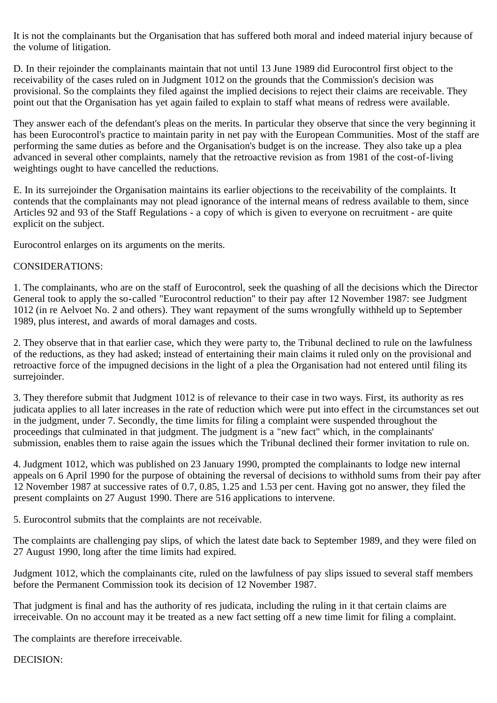It is not the complainants but the Organisation that has suffered both moral and indeed material injury because of the volume of litigation.

D. In their rejoinder the complainants maintain that not until 13 June 1989 did Eurocontrol first object to the receivability of the cases ruled on in Judgment 1012 on the grounds that the Commission's decision was provisional. So the complaints they filed against the implied decisions to reject their claims are receivable. They point out that the Organisation has yet again failed to explain to staff what means of redress were available.

They answer each of the defendant's pleas on the merits. In particular they observe that since the very beginning it has been Eurocontrol's practice to maintain parity in net pay with the European Communities. Most of the staff are performing the same duties as before and the Organisation's budget is on the increase. They also take up a plea advanced in several other complaints, namely that the retroactive revision as from 1981 of the cost-of-living weightings ought to have cancelled the reductions.

E. In its surrejoinder the Organisation maintains its earlier objections to the receivability of the complaints. It contends that the complainants may not plead ignorance of the internal means of redress available to them, since Articles 92 and 93 of the Staff Regulations - a copy of which is given to everyone on recruitment - are quite explicit on the subject.

Eurocontrol enlarges on its arguments on the merits.

## CONSIDERATIONS:

1. The complainants, who are on the staff of Eurocontrol, seek the quashing of all the decisions which the Director General took to apply the so-called "Eurocontrol reduction" to their pay after 12 November 1987: see Judgment 1012 (in re Aelvoet No. 2 and others). They want repayment of the sums wrongfully withheld up to September 1989, plus interest, and awards of moral damages and costs.

2. They observe that in that earlier case, which they were party to, the Tribunal declined to rule on the lawfulness of the reductions, as they had asked; instead of entertaining their main claims it ruled only on the provisional and retroactive force of the impugned decisions in the light of a plea the Organisation had not entered until filing its surrejoinder.

3. They therefore submit that Judgment 1012 is of relevance to their case in two ways. First, its authority as res judicata applies to all later increases in the rate of reduction which were put into effect in the circumstances set out in the judgment, under 7. Secondly, the time limits for filing a complaint were suspended throughout the proceedings that culminated in that judgment. The judgment is a "new fact" which, in the complainants' submission, enables them to raise again the issues which the Tribunal declined their former invitation to rule on.

4. Judgment 1012, which was published on 23 January 1990, prompted the complainants to lodge new internal appeals on 6 April 1990 for the purpose of obtaining the reversal of decisions to withhold sums from their pay after 12 November 1987 at successive rates of 0.7, 0.85, 1.25 and 1.53 per cent. Having got no answer, they filed the present complaints on 27 August 1990. There are 516 applications to intervene.

5. Eurocontrol submits that the complaints are not receivable.

The complaints are challenging pay slips, of which the latest date back to September 1989, and they were filed on 27 August 1990, long after the time limits had expired.

Judgment 1012, which the complainants cite, ruled on the lawfulness of pay slips issued to several staff members before the Permanent Commission took its decision of 12 November 1987.

That judgment is final and has the authority of res judicata, including the ruling in it that certain claims are irreceivable. On no account may it be treated as a new fact setting off a new time limit for filing a complaint.

The complaints are therefore irreceivable.

DECISION: